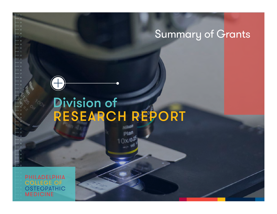# Division of RESEARCH REPORT

PHILADELPHIA **OLLEGE OF OSTEOPATHIC MEDICINE**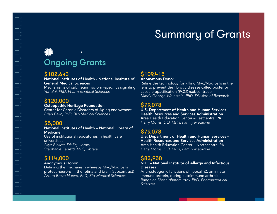# Ongoing Grants

### \$102,643

### National Institutes of Health - National Institute of General Medical Sciences

Mechanisms of calcineurin isoform-specifics signaling *Yun Bai, PhD, Pharmaceutical Sciences*

### \$120,000

### Osteopathic Heritage Foundation

Center for Chronic Disorders of Aging endowment *Brian Balin, PhD, Bio-Medical Sciences*

## \$5,000

#### National Institutes of Health – National Library of Medicine Use of institutional repositories in health care universities *Skye Bickett, DHSc, Library Stephanie Ferretti, MLS, Library*

## \$114,000

#### Anonymous Donor

Defining the mechanism whereby Myo/Nog cells protect neurons in the retina and brain (subcontract) *Arturo Bravo Nuevo, PhD, Bio-Medical Sciences*

## \$109,415

### Anonymous Donor

Refine the technology for killing Myo/Nog cells in the lens to prevent the fibrotic disease called posterior capsule opacification (PCO) (subcontract) *Mindy George-Weinstein, PhD, Division of Research*

## \$79,078

U.S. Department of Health and Human Services – Health Resources and Services Administration Area Health Education Center – Eastcentral PA *Harry Morris, DO, MPH, Family Medicine*

## \$79,078

U.S. Department of Health and Human Services – Health Resources and Services Administration Area Health Education Center – Northcentral PA *Harry Morris, DO, MPH, Family Medicine*

## \$83,950

### NIH – National Institute of Allergy and Infectious Diseases

Anti-osteogenic functions of lipocalin2, an innate immune protein, during autoimmune arthritis *Rangaiah Shashidharamurthy, PhD, Pharmaceutical Sciences*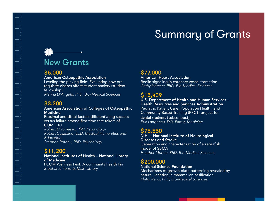# New Grants

### \$5,000

### American Osteopathic Association

Leveling the playing field: Evaluating how prerequisite classes affect student anxiety (student fellowship) *Marina D'Angelo, PhD, Bio-Medical Sciences*

## \$3,300

#### American Association of Colleges of Osteopathic Medicine

Proximal and distal factors differentiating success versus failure among first-time test-takers of COMLEX I

*Robert DiTomasso, PhD, Psychology Robert Cuzzolino, EdD, Medical Humanities and Education Stephen Poteau, PhD, Psychology*

## \$11,200

National Institutes of Health – National Library of Medicine PCOM Wellness Fest: A community health fair *Stephanie Ferretti, MLS, Library*

## \$77,000

American Heart Association Reelin signaling in coronary vessel formation *Cathy Hatcher, PhD, Bio-Medical Sciences*

## \$15,439

#### U.S. Department of Health and Human Services – Health Resources and Services Administration Pediatric Patient Care, Population Health, and Community Based Training (PPCT) project for

dental students (subcontract) *Erik Langenau, DO, Family Medicine*

## \$75,550

NIH – National Institute of Neurological Diseases and Stroke Generation and characterization of a zebrafish model of SBMA *Heather Montie, PhD, Bio-Medical Sciences*

## \$200,000

### National Science Foundation

Mechanisms of growth plate patterning revealed by natural variation in mammalian ossification *Philip Reno, PhD, Bio-Medical Sciences*